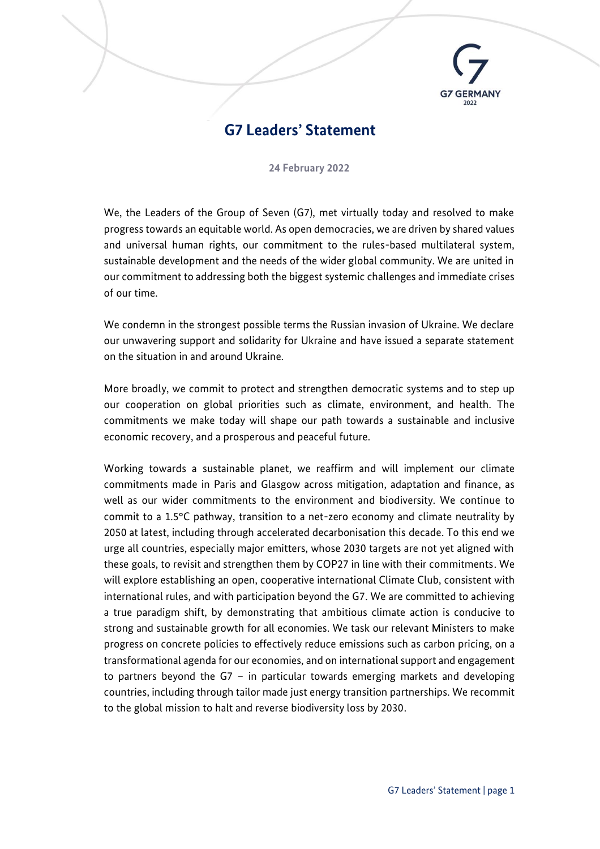

## **G7 Leaders' Statement**

**24 February 2022**

We, the Leaders of the Group of Seven (G7), met virtually today and resolved to make progress towards an equitable world. As open democracies, we are driven by shared values and universal human rights, our commitment to the rules-based multilateral system, sustainable development and the needs of the wider global community. We are united in our commitment to addressing both the biggest systemic challenges and immediate crises of our time.

We condemn in the strongest possible terms the Russian invasion of Ukraine. We declare our unwavering support and solidarity for Ukraine and have issued a separate statement on the situation in and around Ukraine.

More broadly, we commit to protect and strengthen democratic systems and to step up our cooperation on global priorities such as climate, environment, and health. The commitments we make today will shape our path towards a sustainable and inclusive economic recovery, and a prosperous and peaceful future.

Working towards a sustainable planet, we reaffirm and will implement our climate commitments made in Paris and Glasgow across mitigation, adaptation and finance, as well as our wider commitments to the environment and biodiversity. We continue to commit to a 1.5°C pathway, transition to a net-zero economy and climate neutrality by 2050 at latest, including through accelerated decarbonisation this decade. To this end we urge all countries, especially major emitters, whose 2030 targets are not yet aligned with these goals, to revisit and strengthen them by COP27 in line with their commitments. We will explore establishing an open, cooperative international Climate Club, consistent with international rules, and with participation beyond the G7. We are committed to achieving a true paradigm shift, by demonstrating that ambitious climate action is conducive to strong and sustainable growth for all economies. We task our relevant Ministers to make progress on concrete policies to effectively reduce emissions such as carbon pricing, on a transformational agenda for our economies, and on international support and engagement to partners beyond the G7 – in particular towards emerging markets and developing countries, including through tailor made just energy transition partnerships. We recommit to the global mission to halt and reverse biodiversity loss by 2030.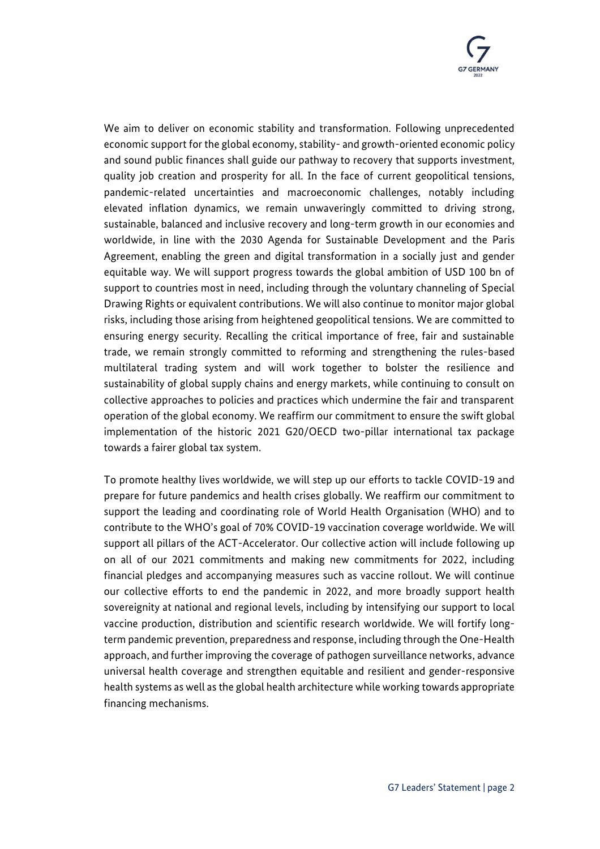

We aim to deliver on economic stability and transformation. Following unprecedented economic support for the global economy, stability- and growth-oriented economic policy and sound public finances shall guide our pathway to recovery that supports investment, quality job creation and prosperity for all. In the face of current geopolitical tensions, pandemic-related uncertainties and macroeconomic challenges, notably including elevated inflation dynamics, we remain unwaveringly committed to driving strong, sustainable, balanced and inclusive recovery and long-term growth in our economies and worldwide, in line with the 2030 Agenda for Sustainable Development and the Paris Agreement, enabling the green and digital transformation in a socially just and gender equitable way. We will support progress towards the global ambition of USD 100 bn of support to countries most in need, including through the voluntary channeling of Special Drawing Rights or equivalent contributions. We will also continue to monitor major global risks, including those arising from heightened geopolitical tensions. We are committed to ensuring energy security. Recalling the critical importance of free, fair and sustainable trade, we remain strongly committed to reforming and strengthening the rules-based multilateral trading system and will work together to bolster the resilience and sustainability of global supply chains and energy markets, while continuing to consult on collective approaches to policies and practices which undermine the fair and transparent operation of the global economy. We reaffirm our commitment to ensure the swift global implementation of the historic 2021 G20/OECD two-pillar international tax package towards a fairer global tax system.

To promote healthy lives worldwide, we will step up our efforts to tackle COVID-19 and prepare for future pandemics and health crises globally. We reaffirm our commitment to support the leading and coordinating role of World Health Organisation (WHO) and to contribute to the WHO's goal of 70% COVID-19 vaccination coverage worldwide. We will support all pillars of the ACT-Accelerator. Our collective action will include following up on all of our 2021 commitments and making new commitments for 2022, including financial pledges and accompanying measures such as vaccine rollout. We will continue our collective efforts to end the pandemic in 2022, and more broadly support health sovereignity at national and regional levels, including by intensifying our support to local vaccine production, distribution and scientific research worldwide. We will fortify longterm pandemic prevention, preparedness and response, including through the One-Health approach, and further improving the coverage of pathogen surveillance networks, advance universal health coverage and strengthen equitable and resilient and gender-responsive health systems as well as the global health architecture while working towards appropriate financing mechanisms.